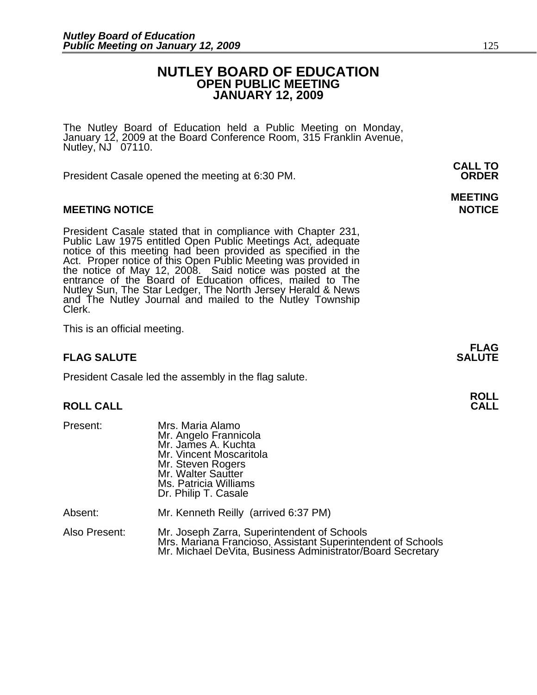#### **NUTLEY BOARD OF EDUCATION OPEN PUBLIC MEETING JANUARY 12, 2009**

The Nutley Board of Education held a Public Meeting on Monday, January 12, 2009 at the Board Conference Room, 315 Franklin Avenue, Nutley, NJ 07110.

 **CALL TO**  President Casale opened the meeting at 6:30 PM. **ORDER**

#### **MEETING NOTICE NOTICE AND RESERVE ASSESS**

President Casale stated that in compliance with Chapter 231,<br>Public Law 1975 entitled Open Public Meetings Act, adequate<br>notice of this meeting had been provided as specified in the<br>Act. Proper notice of this Open Public M the notice of May 12, 2008. Said notice was posted at the entrance of the Board of Education offices, mailed to The Nutley Sun, The Star Ledger, The North Jersey Herald & News and The Nutley Journal and mailed to the Nutley Township Clerk.

This is an official meeting.

#### **FLAG SALUTE** SALUTE SALUTE SALUTE SALUTE SALUTE

President Casale led the assembly in the flag salute.

# **ROLL ROLL CALL CALL**

| Present:      | Mrs. Maria Alamo<br>Mr. Angelo Frannicola<br>Mr. James A. Kuchta<br>Mr. Vincent Moscaritola<br>Mr. Steven Rogers<br>Mr. Walter Sautter<br>Ms. Patricia Williams<br>Dr. Philip T. Casale |
|---------------|-----------------------------------------------------------------------------------------------------------------------------------------------------------------------------------------|
| Absent:       | Mr. Kenneth Reilly (arrived 6:37 PM)                                                                                                                                                    |
| Also Present: | Mr. Joseph Zarra, Superintendent of Schools<br>Mrs. Mariana Francioso, Assistant Superintendent of Schools<br>Mr. Michael DeVita, Business Administrator/Board Secretary                |

# **MEETING**

**FLAG**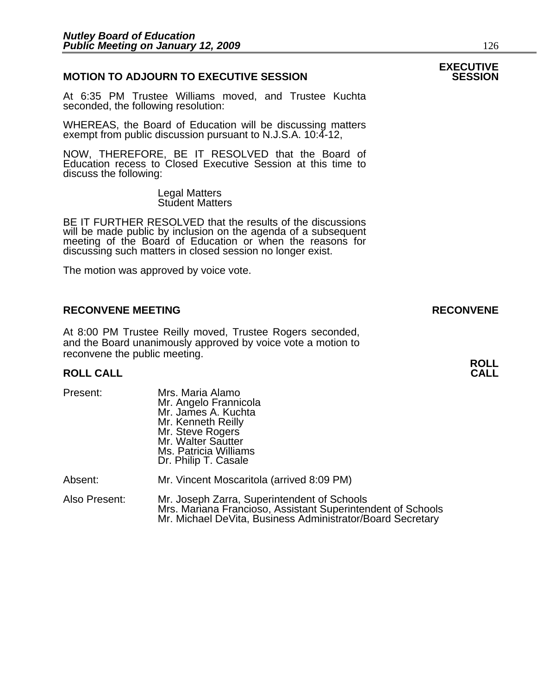#### **MOTION TO ADJOURN TO EXECUTIVE SESSION**

At 6:35 PM Trustee Williams moved, and Trustee Kuchta seconded, the following resolution:

WHEREAS, the Board of Education will be discussing matters exempt from public discussion pursuant to N.J.S.A. 10:4-12,

NOW, THEREFORE, BE IT RESOLVED that the Board of Education recess to Closed Executive Session at this time to discuss the following:

> Legal Matters Student Matters

BE IT FURTHER RESOLVED that the results of the discussions will be made public by inclusion on the agenda of a subsequent meeting of the Board of Education or when the reasons for discussing such matters in closed session no longer exist.

The motion was approved by voice vote.

#### **RECONVENE MEETING RECONVENE**

At 8:00 PM Trustee Reilly moved, Trustee Rogers seconded, and the Board unanimously approved by voice vote a motion to reconvene the public meeting.

# **ROLL ROLL CALL CALL**

| Present:      | Mrs. Maria Alamo<br>Mr. Angelo Frannicola<br>Mr. James A. Kuchta<br>Mr. Kenneth Reilly<br>Mr. Steve Rogers<br>Mr. Walter Sautter<br>Ms. Patricia Williams<br>Dr. Philip T. Casale |
|---------------|-----------------------------------------------------------------------------------------------------------------------------------------------------------------------------------|
| Absent:       | Mr. Vincent Moscaritola (arrived 8:09 PM)                                                                                                                                         |
| Also Present: | Mr. Joseph Zarra, Superintendent of Schools<br>Mrs. Mariana Francioso, Assistant Superintendent of Schools<br>Mr. Michael DeVita, Business Administrator/Board Secretary          |

# **EXECUTIVE**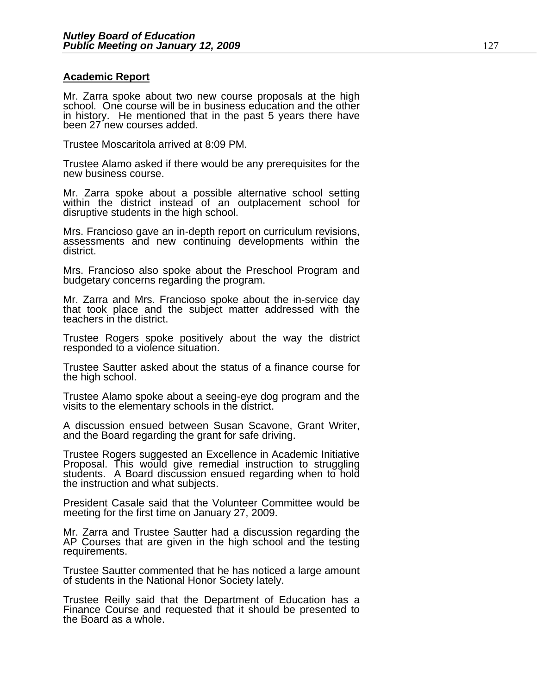#### **Academic Report**

Mr. Zarra spoke about two new course proposals at the high school. One course will be in business education and the other in history. He mentioned that in the past 5 years there have been 27 new courses added.

Trustee Moscaritola arrived at 8:09 PM.

Trustee Alamo asked if there would be any prerequisites for the new business course.

Mr. Zarra spoke about a possible alternative school setting within the district instead of an outplacement school for disruptive students in the high school.

Mrs. Francioso gave an in-depth report on curriculum revisions, assessments and new continuing developments within the district.

Mrs. Francioso also spoke about the Preschool Program and budgetary concerns regarding the program.

Mr. Zarra and Mrs. Francioso spoke about the in-service day that took place and the subject matter addressed with the teachers in the district.

Trustee Rogers spoke positively about the way the district responded to a violence situation.

Trustee Sautter asked about the status of a finance course for the high school.

Trustee Alamo spoke about a seeing-eye dog program and the visits to the elementary schools in the district.

A discussion ensued between Susan Scavone, Grant Writer, and the Board regarding the grant for safe driving.

Trustee Rogers suggested an Excellence in Academic Initiative Proposal. This would give remedial instruction to struggling students. A Board discussion ensued regarding when to hold the instruction and what subjects.

President Casale said that the Volunteer Committee would be meeting for the first time on January 27, 2009.

Mr. Zarra and Trustee Sautter had a discussion regarding the AP Courses that are given in the high school and the testing requirements.

Trustee Sautter commented that he has noticed a large amount of students in the National Honor Society lately.

Trustee Reilly said that the Department of Education has a Finance Course and requested that it should be presented to the Board as a whole.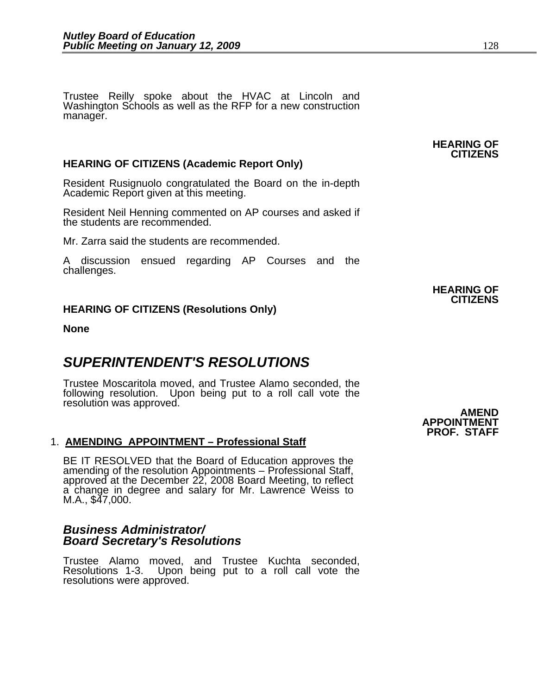Trustee Reilly spoke about the HVAC at Lincoln and Washington Schools as well as the RFP for a new construction manager.

#### **HEARING OF CITIZENS (Academic Report Only)**

Resident Rusignuolo congratulated the Board on the in-depth Academic Report given at this meeting.

Resident Neil Henning commented on AP courses and asked if the students are recommended.

Mr. Zarra said the students are recommended.

A discussion ensued regarding AP Courses and the challenges.

#### **HEARING OF CITIZENS (Resolutions Only)**

**None** 

### *SUPERINTENDENT'S RESOLUTIONS*

Trustee Moscaritola moved, and Trustee Alamo seconded, the following resolution. Upon being put to a roll call vote the resolution was approved.

#### 1. **AMENDING APPOINTMENT – Professional Staff**

BE IT RESOLVED that the Board of Education approves the amending of the resolution Appointments – Professional Staff, approved at the December 22, 2008 Board Meeting, to reflect a change in degree and salary for Mr. Lawren M.A., \$47,000.

#### *Business Administrator/ Board Secretary's Resolutions*

Trustee Alamo moved, and Trustee Kuchta seconded, Resolutions 1-3. Upon being put to a roll call vote the resolutions were approved.

**AMEND APPOINTMENT PROF. STAFF** 

## **HEARING OF CITIZENS**

**HEARING OF CITIZENS**